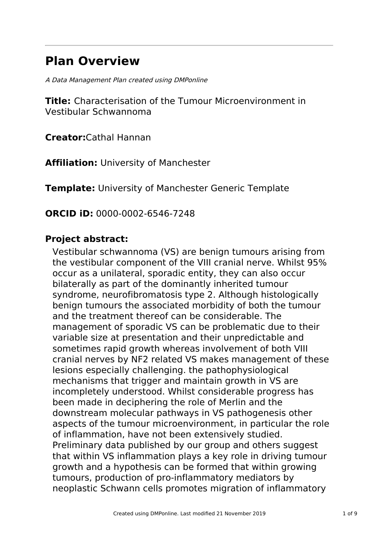# **Plan Overview**

A Data Management Plan created using DMPonline

**Title:** Characterisation of the Tumour Microenvironment in Vestibular Schwannoma

**Creator:**Cathal Hannan

**Affiliation:** University of Manchester

**Template:** University of Manchester Generic Template

**ORCID iD:** 0000-0002-6546-7248

# **Project abstract:**

Vestibular schwannoma (VS) are benign tumours arising from the vestibular component of the VIII cranial nerve. Whilst 95% occur as a unilateral, sporadic entity, they can also occur bilaterally as part of the dominantly inherited tumour syndrome, neurofibromatosis type 2. Although histologically benign tumours the associated morbidity of both the tumour and the treatment thereof can be considerable. The management of sporadic VS can be problematic due to their variable size at presentation and their unpredictable and sometimes rapid growth whereas involvement of both VIII cranial nerves by NF2 related VS makes management of these lesions especially challenging. the pathophysiological mechanisms that trigger and maintain growth in VS are incompletely understood. Whilst considerable progress has been made in deciphering the role of Merlin and the downstream molecular pathways in VS pathogenesis other aspects of the tumour microenvironment, in particular the role of inflammation, have not been extensively studied. Preliminary data published by our group and others suggest that within VS inflammation plays a key role in driving tumour growth and a hypothesis can be formed that within growing tumours, production of pro-inflammatory mediators by neoplastic Schwann cells promotes migration of inflammatory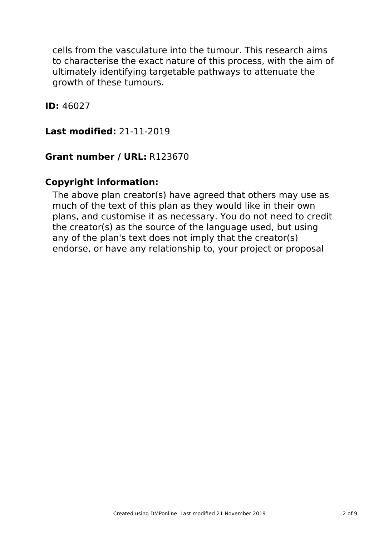cells from the vasculature into the tumour. This research aims to characterise the exact nature of this process, with the aim of ultimately identifying targetable pathways to attenuate the growth of these tumours.

**ID:** 46027

**Last modified:** 21-11-2019

### **Grant number / URL:** R123670

### **Copyright information:**

The above plan creator(s) have agreed that others may use as much of the text of this plan as they would like in their own plans, and customise it as necessary. You do not need to credit the creator(s) as the source of the language used, but using any of the plan's text does not imply that the creator(s) endorse, or have any relationship to, your project or proposal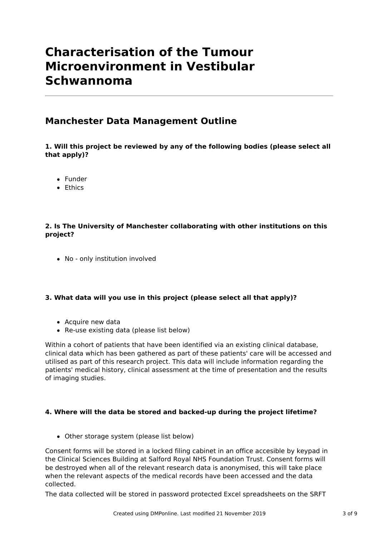# **Characterisation of the Tumour Microenvironment in Vestibular Schwannoma**

### **Manchester Data Management Outline**

### **1. Will this project be reviewed by any of the following bodies (please select all that apply)?**

- Funder
- **•** Ethics

### **2. Is The University of Manchester collaborating with other institutions on this project?**

• No - only institution involved

### **3. What data will you use in this project (please select all that apply)?**

- Acquire new data
- Re-use existing data (please list below)

Within a cohort of patients that have been identified via an existing clinical database, clinical data which has been gathered as part of these patients' care will be accessed and utilised as part of this research project. This data will include information regarding the patients' medical history, clinical assessment at the time of presentation and the results of imaging studies.

### **4. Where will the data be stored and backed-up during the project lifetime?**

Other storage system (please list below)

Consent forms will be stored in a locked filing cabinet in an office accesible by keypad in the Clinical Sciences Building at Salford Royal NHS Foundation Trust. Consent forms will be destroyed when all of the relevant research data is anonymised, this will take place when the relevant aspects of the medical records have been accessed and the data collected.

The data collected will be stored in password protected Excel spreadsheets on the SRFT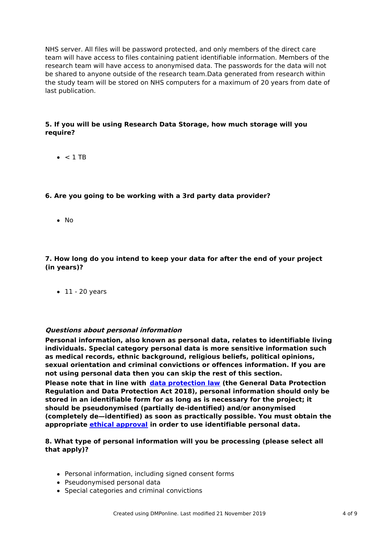NHS server. All files will be password protected, and only members of the direct care team will have access to files containing patient identifiable information. Members of the research team will have access to anonymised data. The passwords for the data will not be shared to anyone outside of the research team.Data generated from research within the study team will be stored on NHS computers for a maximum of 20 years from date of last publication.

### **5. If you will be using Research Data Storage, how much storage will you require?**

 $\bullet$  < 1 TB

### **6. Are you going to be working with a 3rd party data provider?**

 $\bullet$  No

**7. How long do you intend to keep your data for after the end of your project (in years)?**

 $\bullet$  11 - 20 years

#### **Questions about personal information**

**Personal information, also known as personal data, relates to identifiable living individuals. Special category personal data is more sensitive information such as medical records, ethnic background, religious beliefs, political opinions, sexual orientation and criminal convictions or offences information. If you are not using personal data then you can skip the rest of this section.**

**Please note that in line with data [protection](http://www.staffnet.manchester.ac.uk/igo/data-protection/what-is-data-protection/) law (the General Data Protection Regulation and Data Protection Act 2018), personal information should only be stored in an identifiable form for as long as is necessary for the project; it should be pseudonymised (partially de-identified) and/or anonymised (completely de—identified) as soon as practically possible. You must obtain the appropriate ethical [approval](http://www.staffnet.manchester.ac.uk/services/rbess/governance/ethics/new-online-system-for-ethics-review-erm/) in order to use identifiable personal data.**

### **8. What type of personal information will you be processing (please select all that apply)?**

- Personal information, including signed consent forms
- Pseudonymised personal data
- Special categories and criminal convictions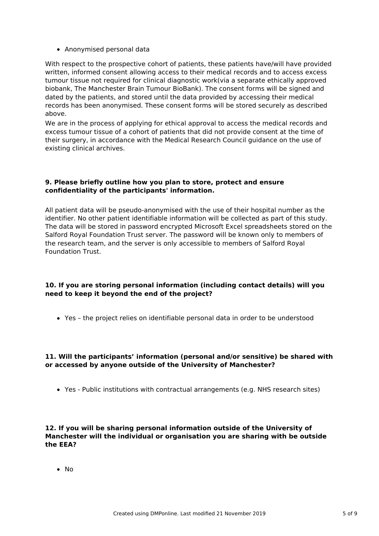Anonymised personal data

With respect to the prospective cohort of patients, these patients have/will have provided written, informed consent allowing access to their medical records and to access excess tumour tissue not required for clinical diagnostic work(via a separate ethically approved biobank, The Manchester Brain Tumour BioBank). The consent forms will be signed and dated by the patients, and stored until the data provided by accessing their medical records has been anonymised. These consent forms will be stored securely as described above.

We are in the process of applying for ethical approval to access the medical records and excess tumour tissue of a cohort of patients that did not provide consent at the time of their surgery, in accordance with the Medical Research Council guidance on the use of existing clinical archives.

#### **9. Please briefly outline how you plan to store, protect and ensure confidentiality of the participants' information.**

All patient data will be pseudo-anonymised with the use of their hospital number as the identifier. No other patient identifiable information will be collected as part of this study. The data will be stored in password encrypted Microsoft Excel spreadsheets stored on the Salford Royal Foundation Trust server. The password will be known only to members of the research team, and the server is only accessible to members of Salford Royal Foundation Trust.

### **10. If you are storing personal information (including contact details) will you need to keep it beyond the end of the project?**

Yes – the project relies on identifiable personal data in order to be understood

### **11. Will the participants' information (personal and/or sensitive) be shared with or accessed by anyone outside of the University of Manchester?**

Yes - Public institutions with contractual arrangements (e.g. NHS research sites)

#### **12. If you will be sharing personal information outside of the University of Manchester will the individual or organisation you are sharing with be outside the EEA?**

No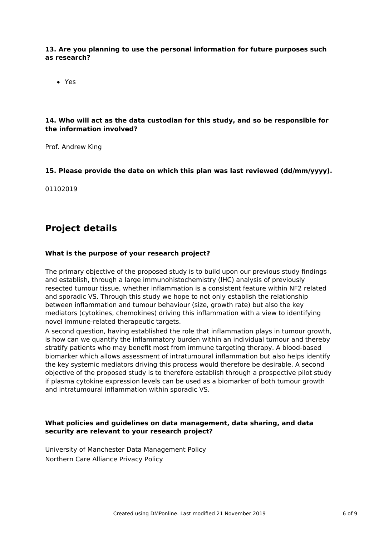#### **13. Are you planning to use the personal information for future purposes such as research?**

Yes

### **14. Who will act as the data custodian for this study, and so be responsible for the information involved?**

Prof. Andrew King

### **15. Please provide the date on which this plan was last reviewed (dd/mm/yyyy).**

01102019

# **Project details**

### **What is the purpose of your research project?**

The primary objective of the proposed study is to build upon our previous study findings and establish, through a large immunohistochemistry (IHC) analysis of previously resected tumour tissue, whether inflammation is a consistent feature within NF2 related and sporadic VS. Through this study we hope to not only establish the relationship between inflammation and tumour behaviour (size, growth rate) but also the key mediators (cytokines, chemokines) driving this inflammation with a view to identifying novel immune-related therapeutic targets.

A second question, having established the role that inflammation plays in tumour growth, is how can we quantify the inflammatory burden within an individual tumour and thereby stratify patients who may benefit most from immune targeting therapy. A blood-based biomarker which allows assessment of intratumoural inflammation but also helps identify the key systemic mediators driving this process would therefore be desirable. A second objective of the proposed study is to therefore establish through a prospective pilot study if plasma cytokine expression levels can be used as a biomarker of both tumour growth and intratumoural inflammation within sporadic VS.

### **What policies and guidelines on data management, data sharing, and data security are relevant to your research project?**

University of Manchester Data Management Policy Northern Care Alliance Privacy Policy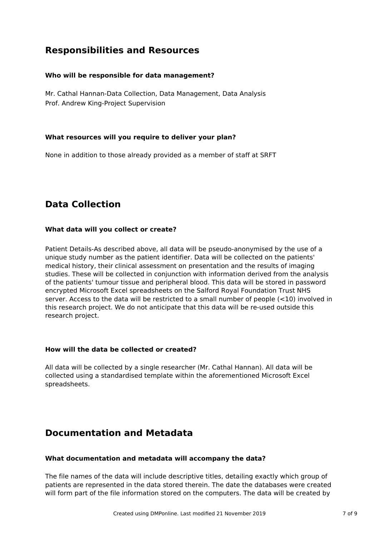# **Responsibilities and Resources**

### **Who will be responsible for data management?**

Mr. Cathal Hannan-Data Collection, Data Management, Data Analysis Prof. Andrew King-Project Supervision

### **What resources will you require to deliver your plan?**

None in addition to those already provided as a member of staff at SRFT

# **Data Collection**

### **What data will you collect or create?**

Patient Details-As described above, all data will be pseudo-anonymised by the use of a unique study number as the patient identifier. Data will be collected on the patients' medical history, their clinical assessment on presentation and the results of imaging studies. These will be collected in conjunction with information derived from the analysis of the patients' tumour tissue and peripheral blood. This data will be stored in password encrypted Microsoft Excel spreadsheets on the Salford Royal Foundation Trust NHS server. Access to the data will be restricted to a small number of people (<10) involved in this research project. We do not anticipate that this data will be re-used outside this research project.

### **How will the data be collected or created?**

All data will be collected by a single researcher (Mr. Cathal Hannan). All data will be collected using a standardised template within the aforementioned Microsoft Excel spreadsheets.

# **Documentation and Metadata**

### **What documentation and metadata will accompany the data?**

The file names of the data will include descriptive titles, detailing exactly which group of patients are represented in the data stored therein. The date the databases were created will form part of the file information stored on the computers. The data will be created by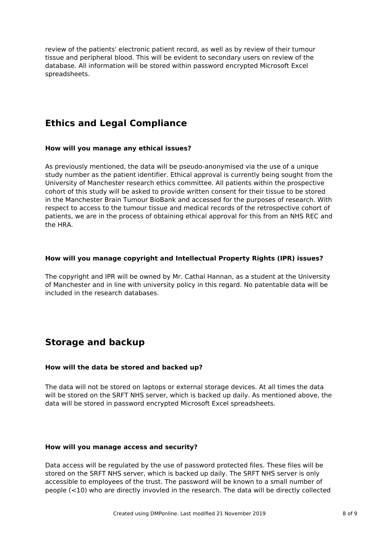review of the patients' electronic patient record, as well as by review of their tumour tissue and peripheral blood. This will be evident to secondary users on review of the database. All information will be stored within password encrypted Microsoft Excel spreadsheets.

# **Ethics and Legal Compliance**

#### **How will you manage any ethical issues?**

As previously mentioned, the data will be pseudo-anonymised via the use of a unique study number as the patient identifier. Ethical approval is currently being sought from the University of Manchester research ethics committee. All patients within the prospective cohort of this study will be asked to provide written consent for their tissue to be stored in the Manchester Brain Tumour BioBank and accessed for the purposes of research. With respect to access to the tumour tissue and medical records of the retrospective cohort of patients, we are in the process of obtaining ethical approval for this from an NHS REC and the HRA.

### **How will you manage copyright and Intellectual Property Rights (IPR) issues?**

The copyright and IPR will be owned by Mr. Cathal Hannan, as a student at the University of Manchester and in line with university policy in this regard. No patentable data will be included in the research databases.

# **Storage and backup**

### **How will the data be stored and backed up?**

The data will not be stored on laptops or external storage devices. At all times the data will be stored on the SRFT NHS server, which is backed up daily. As mentioned above, the data will be stored in password encrypted Microsoft Excel spreadsheets.

### **How will you manage access and security?**

Data access will be regulated by the use of password protected files. These files will be stored on the SRFT NHS server, which is backed up daily. The SRFT NHS server is only accessible to employees of the trust. The password will be known to a small number of people (<10) who are directly invovled in the research. The data will be directly collected